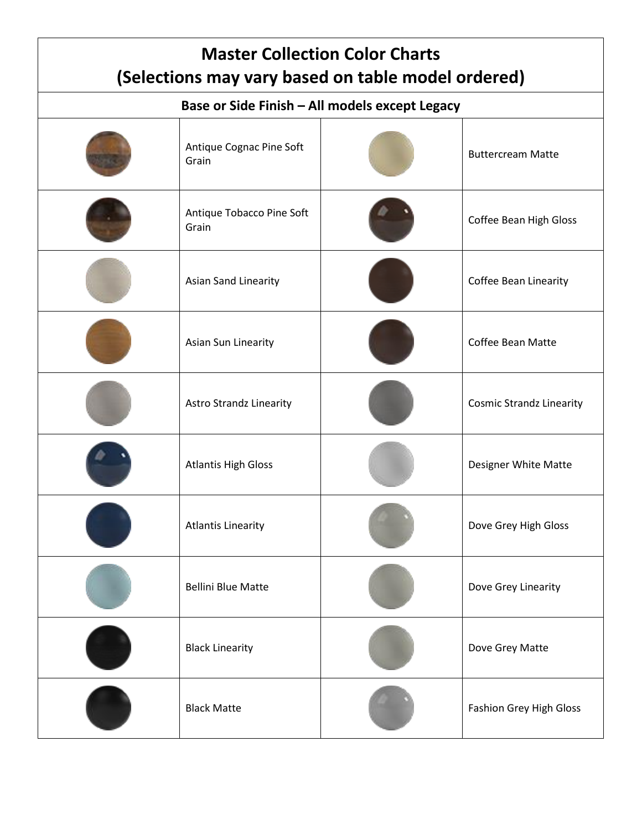| <b>Master Collection Color Charts</b><br>(Selections may vary based on table model ordered) |                                    |  |                                 |  |  |  |  |
|---------------------------------------------------------------------------------------------|------------------------------------|--|---------------------------------|--|--|--|--|
| Base or Side Finish - All models except Legacy                                              |                                    |  |                                 |  |  |  |  |
|                                                                                             | Antique Cognac Pine Soft<br>Grain  |  | <b>Buttercream Matte</b>        |  |  |  |  |
|                                                                                             | Antique Tobacco Pine Soft<br>Grain |  | Coffee Bean High Gloss          |  |  |  |  |
|                                                                                             | Asian Sand Linearity               |  | Coffee Bean Linearity           |  |  |  |  |
|                                                                                             | Asian Sun Linearity                |  | <b>Coffee Bean Matte</b>        |  |  |  |  |
|                                                                                             | <b>Astro Strandz Linearity</b>     |  | <b>Cosmic Strandz Linearity</b> |  |  |  |  |
|                                                                                             | <b>Atlantis High Gloss</b>         |  | Designer White Matte            |  |  |  |  |
|                                                                                             | <b>Atlantis Linearity</b>          |  | Dove Grey High Gloss            |  |  |  |  |
|                                                                                             | <b>Bellini Blue Matte</b>          |  | Dove Grey Linearity             |  |  |  |  |
|                                                                                             | <b>Black Linearity</b>             |  | Dove Grey Matte                 |  |  |  |  |
|                                                                                             | <b>Black Matte</b>                 |  | Fashion Grey High Gloss         |  |  |  |  |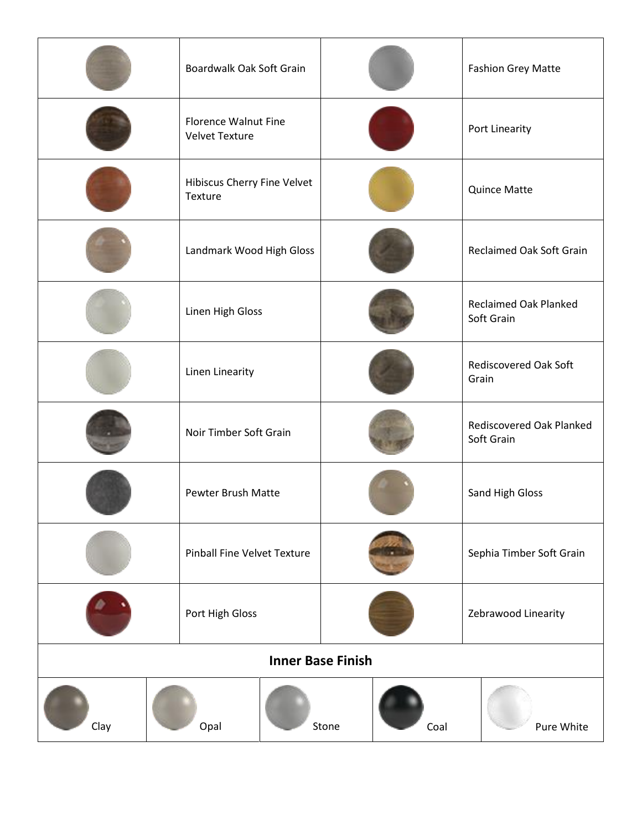|                             | Boardwalk Oak Soft Grain |                             |                                            |                                       | <b>Fashion Grey Matte</b>              |                          |  |
|-----------------------------|--------------------------|-----------------------------|--------------------------------------------|---------------------------------------|----------------------------------------|--------------------------|--|
|                             | <b>Velvet Texture</b>    | <b>Florence Walnut Fine</b> |                                            |                                       | Port Linearity                         |                          |  |
|                             | Texture                  | Hibiscus Cherry Fine Velvet |                                            | <b>Quince Matte</b>                   |                                        |                          |  |
|                             |                          | Landmark Wood High Gloss    |                                            | Reclaimed Oak Soft Grain              |                                        |                          |  |
|                             | Linen High Gloss         |                             | <b>Reclaimed Oak Planked</b><br>Soft Grain |                                       |                                        |                          |  |
|                             | Linen Linearity          |                             |                                            | <b>Rediscovered Oak Soft</b><br>Grain |                                        |                          |  |
|                             |                          | Noir Timber Soft Grain      |                                            |                                       | Rediscovered Oak Planked<br>Soft Grain |                          |  |
|                             |                          | <b>Pewter Brush Matte</b>   |                                            | Sand High Gloss                       |                                        |                          |  |
| Pinball Fine Velvet Texture |                          |                             |                                            |                                       |                                        | Sephia Timber Soft Grain |  |
|                             | Port High Gloss          |                             |                                            | Zebrawood Linearity                   |                                        |                          |  |
| <b>Inner Base Finish</b>    |                          |                             |                                            |                                       |                                        |                          |  |
| Clay                        | Opal                     |                             | Stone                                      | Coal                                  |                                        | Pure White               |  |